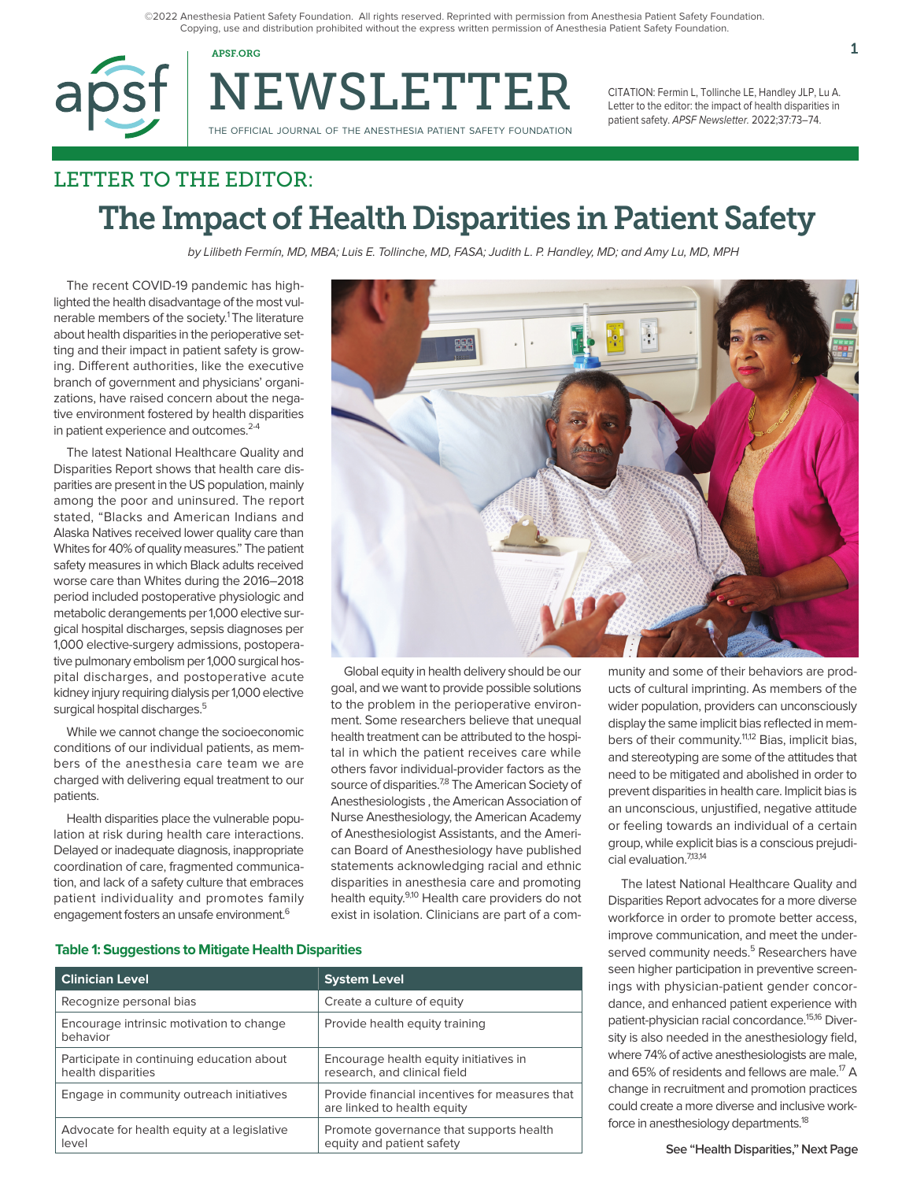©2022 Anesthesia Patient Safety Foundation. All rights reserved. Reprinted with permission from Anesthesia Patient Safety Foundation. Copying, use and distribution prohibited without the express written permission of Anesthesia Patient Safety Foundation.



NEWSLETTER

CITATION: Fermin L, Tollinche LE, Handley JLP, Lu A. Letter to the editor: the impact of health disparities in patient safety. APSF Newsletter. 2022;37:73–74.

# LETTER TO THE EDITOR: The Impact of Health Disparities in Patient Safety

by Lilibeth Fermín, MD, MBA; Luis E. Tollinche, MD, FASA; Judith L. P. Handley, MD; and Amy Lu, MD, MPH

The recent COVID-19 pandemic has highlighted the health disadvantage of the most vulnerable members of the society.<sup>1</sup> The literature about health disparities in the perioperative setting and their impact in patient safety is growing. Different authorities, like the executive branch of government and physicians' organizations, have raised concern about the negative environment fostered by health disparities in patient experience and outcomes.<sup>2-4</sup>

The latest National Healthcare Quality and Disparities Report shows that health care disparities are present in the US population, mainly among the poor and uninsured. The report stated, "Blacks and American Indians and Alaska Natives received lower quality care than Whites for 40% of quality measures." The patient safety measures in which Black adults received worse care than Whites during the 2016–2018 period included postoperative physiologic and metabolic derangements per 1,000 elective surgical hospital discharges, sepsis diagnoses per 1,000 elective-surgery admissions, postoperative pulmonary embolism per 1,000 surgical hospital discharges, and postoperative acute kidney injury requiring dialysis per 1,000 elective surgical hospital discharges.<sup>5</sup>

While we cannot change the socioeconomic conditions of our individual patients, as members of the anesthesia care team we are charged with delivering equal treatment to our patients.

Health disparities place the vulnerable population at risk during health care interactions. Delayed or inadequate diagnosis, inappropriate coordination of care, fragmented communication, and lack of a safety culture that embraces patient individuality and promotes family engagement fosters an unsafe environment.<sup>6</sup>



Global equity in health delivery should be our goal, and we want to provide possible solutions to the problem in the perioperative environment. Some researchers believe that unequal health treatment can be attributed to the hospital in which the patient receives care while others favor individual-provider factors as the source of disparities.<sup>7,8</sup> The American Society of Anesthesiologists , the American Association of Nurse Anesthesiology, the American Academy of Anesthesiologist Assistants, and the American Board of Anesthesiology have published statements acknowledging racial and ethnic disparities in anesthesia care and promoting health equity.<sup>9,10</sup> Health care providers do not exist in isolation. Clinicians are part of a community and some of their behaviors are products of cultural imprinting. As members of the wider population, providers can unconsciously display the same implicit bias reflected in members of their community.<sup>11,12</sup> Bias, implicit bias, and stereotyping are some of the attitudes that need to be mitigated and abolished in order to prevent disparities in health care. Implicit bias is an unconscious, unjustified, negative attitude or feeling towards an individual of a certain group, while explicit bias is a conscious prejudicial evaluation.7,13,14

The latest National Healthcare Quality and Disparities Report advocates for a more diverse workforce in order to promote better access, improve communication, and meet the underserved community needs.<sup>5</sup> Researchers have seen higher participation in preventive screenings with physician-patient gender concordance, and enhanced patient experience with patient-physician racial concordance.<sup>15,16</sup> Diversity is also needed in the anesthesiology field, where 74% of active anesthesiologists are male, and 65% of residents and fellows are male.<sup>17</sup> A change in recruitment and promotion practices could create a more diverse and inclusive workforce in anesthesiology departments.<sup>18</sup>

### **Table 1: Suggestions to Mitigate Health Disparities**

| <b>Clinician Level</b>                                          | <b>System Level</b>                                                           |
|-----------------------------------------------------------------|-------------------------------------------------------------------------------|
| Recognize personal bias                                         | Create a culture of equity                                                    |
| Encourage intrinsic motivation to change<br>behavior            | Provide health equity training                                                |
| Participate in continuing education about<br>health disparities | Encourage health equity initiatives in<br>research, and clinical field        |
| Engage in community outreach initiatives                        | Provide financial incentives for measures that<br>are linked to health equity |
| Advocate for health equity at a legislative<br>level            | Promote governance that supports health<br>equity and patient safety          |

**See "Health Disparities," Next Page**